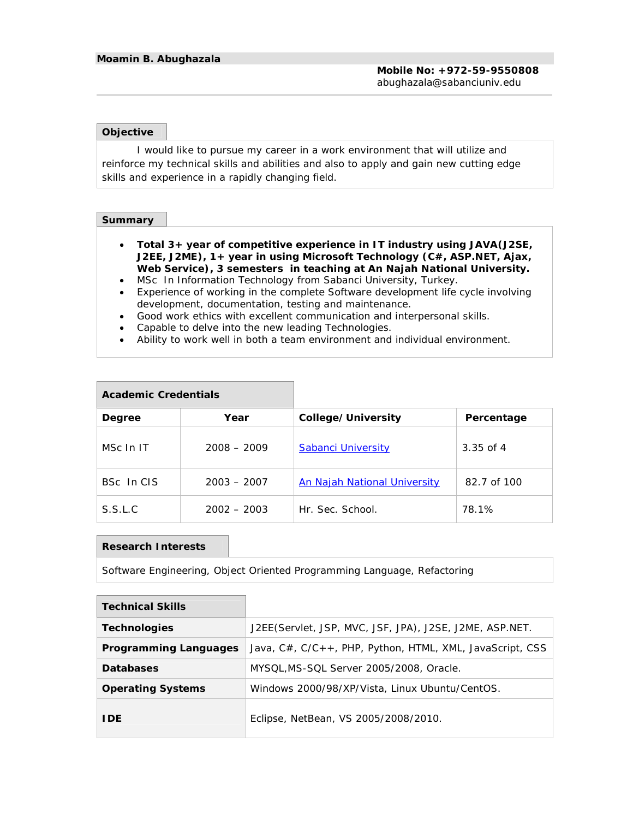### **Objective**

I would like to pursue my career in a work environment that will utilize and reinforce my technical skills and abilities and also to apply and gain new cutting edge skills and experience in a rapidly changing field.

## **Summary**

- **Total 3+ year of competitive experience in IT industry using JAVA(J2SE, J2EE, J2ME), 1+ year in using Microsoft Technology (C#, ASP.NET, Ajax, Web Service), 3 semesters in teaching at An Najah National University.**
- MSc In Information Technology from Sabanci University, Turkey.
- Experience of working in the complete Software development life cycle involving development, documentation, testing and maintenance.
- Good work ethics with excellent communication and interpersonal skills.
- Capable to delve into the new leading Technologies.
- Ability to work well in both a team environment and individual environment.

| Academic Credentials |               |                                     |             |
|----------------------|---------------|-------------------------------------|-------------|
| Degree               | Year          | College/University                  | Percentage  |
| MSc In IT            | $2008 - 2009$ | <b>Sabanci University</b>           | $3.35$ of 4 |
| BSc In CIS           | $2003 - 2007$ | <b>An Najah National University</b> | 82.7 of 100 |
| S.S.L.C              | $2002 - 2003$ | Hr. Sec. School.                    | 78.1%       |

#### **Research Interests**

## Software Engineering, Object Oriented Programming Language, Refactoring

| <b>Technical Skills</b>  |                                                                |
|--------------------------|----------------------------------------------------------------|
| Technologies             | J2EE(Servlet, JSP, MVC, JSF, JPA), J2SE, J2ME, ASP.NET.        |
| Programming Languages    | Java, $C#$ , $C/C++$ , PHP, Python, HTML, XML, JavaScript, CSS |
| Databases                | MYSQL, MS-SQL Server 2005/2008, Oracle.                        |
| <b>Operating Systems</b> | Windows 2000/98/XP/Vista, Linux Ubuntu/CentOS.                 |
| I DE                     | Eclipse, NetBean, VS 2005/2008/2010.                           |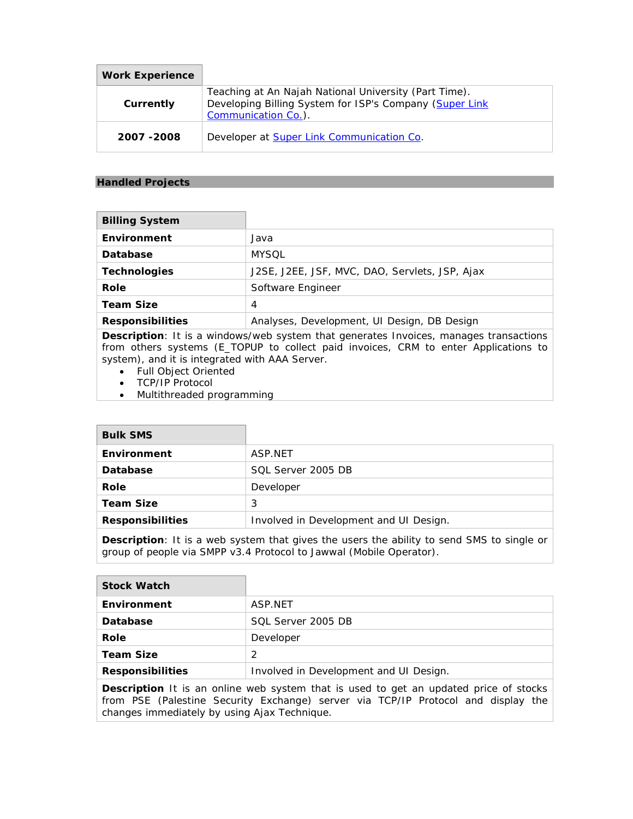| Work Experience |                                                                                                                                         |
|-----------------|-----------------------------------------------------------------------------------------------------------------------------------------|
| Currently       | Teaching at An Najah National University (Part Time).<br>Developing Billing System for ISP's Company (Super Link<br>Communication Co.). |
| 2007 - 2008     | Developer at Super Link Communication Co.                                                                                               |

# **Handled Projects**

| <b>Billing System</b> |                                                |
|-----------------------|------------------------------------------------|
| Environment           | Java                                           |
| Database              | <b>MYSOL</b>                                   |
| Technologies          | J2SE, J2EE, JSF, MVC, DAO, Servlets, JSP, Ajax |
| Role                  | Software Engineer                              |
| Team Size             | 4                                              |
| Responsibilities      | Analyses, Development, UI Design, DB Design    |

**Description**: It is a windows/web system that generates Invoices, manages transactions from others systems (E\_TOPUP to collect paid invoices, CRM to enter Applications to system), and it is integrated with AAA Server.

- Full Object Oriented
- TCP/IP Protocol
- Multithreaded programming

| <b>Bulk SMS</b>  |                                        |
|------------------|----------------------------------------|
| Environment      | ASP.NET                                |
| Database         | SOL Server 2005 DB                     |
| Role             | Developer                              |
| Team Size        | 3                                      |
| Responsibilities | Involved in Development and UI Design. |

**Description**: It is a web system that gives the users the ability to send SMS to single or group of people via SMPP v3.4 Protocol to Jawwal (Mobile Operator).

| Stock Watch      |                                        |
|------------------|----------------------------------------|
| Environment      | ASP.NET                                |
| Database         | SQL Server 2005 DB                     |
| Role             | Developer                              |
| Team Size        | フ                                      |
| Responsibilities | Involved in Development and UI Design. |
|                  |                                        |

**Description** It is an online web system that is used to get an updated price of stocks from PSE (Palestine Security Exchange) server via TCP/IP Protocol and display the changes immediately by using Ajax Technique.